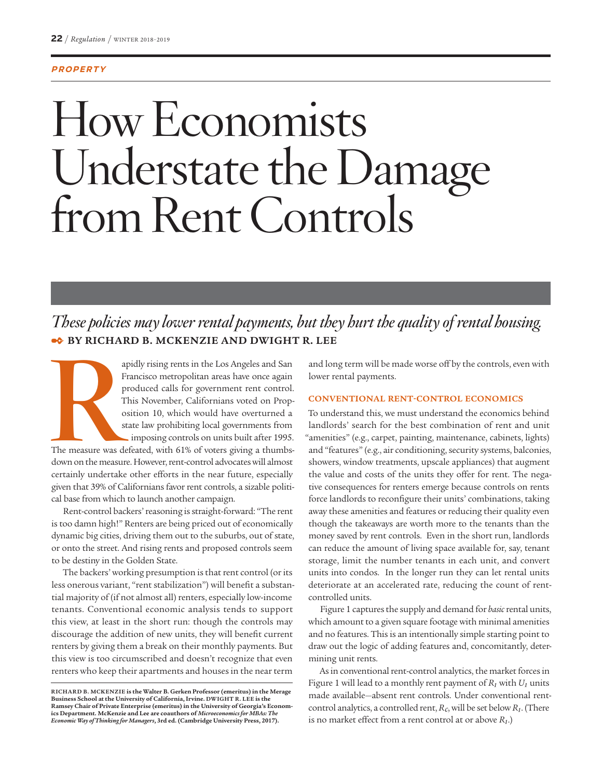#### **PROPERTY**

# How Economists Understate the Damage from Rent Controls

# *These policies may lower rental payments, but they hurt the quality of rental housing.* ✒ **BY RICHARD B. MCKENZIE AND DWIGHT R. LEE**

apidly rising rents in the Los Angeles and San Francisco metropolitan areas have once again produced calls for government rent control.<br>This November, Californians voted on Proposition 10, which would have overturned a sta Francisco metropolitan areas have once again produced calls for government rent control. This November, Californians voted on Proposition 10, which would have overturned a state law prohibiting local governments from imposing controls on units built after 1995.

The measure was defeated, with 61% of voters giving a thumbsdown on the measure. However, rent-control advocates will almost certainly undertake other efforts in the near future, especially given that 39% of Californians favor rent controls, a sizable political base from which to launch another campaign.

Rent-control backers' reasoning is straight-forward: "The rent is too damn high!" Renters are being priced out of economically dynamic big cities, driving them out to the suburbs, out of state, or onto the street. And rising rents and proposed controls seem to be destiny in the Golden State.

The backers' working presumption is that rent control (or its less onerous variant, "rent stabilization") will benefit a substantial majority of (if not almost all) renters, especially low-income tenants. Conventional economic analysis tends to support this view, at least in the short run: though the controls may discourage the addition of new units, they will benefit current renters by giving them a break on their monthly payments. But this view is too circumscribed and doesn't recognize that even renters who keep their apartments and houses in the near term

and long term will be made worse off by the controls, even with lower rental payments.

#### **CONVENTIONAL RENT-CONTROL ECONOMICS**

To understand this, we must understand the economics behind landlords' search for the best combination of rent and unit "amenities" (e.g., carpet, painting, maintenance, cabinets, lights) and "features" (e.g., air conditioning, security systems, balconies, showers, window treatments, upscale appliances) that augment the value and costs of the units they offer for rent. The negative consequences for renters emerge because controls on rents force landlords to reconfigure their units' combinations, taking away these amenities and features or reducing their quality even though the takeaways are worth more to the tenants than the money saved by rent controls. Even in the short run, landlords can reduce the amount of living space available for, say, tenant storage, limit the number tenants in each unit, and convert units into condos. In the longer run they can let rental units deteriorate at an accelerated rate, reducing the count of rentcontrolled units.

Figure 1 captures the supply and demand for *basic* rental units, which amount to a given square footage with minimal amenities and no features. This is an intentionally simple starting point to draw out the logic of adding features and, concomitantly, determining unit rents.

As in conventional rent-control analytics, the market forces in Figure 1 will lead to a monthly rent payment of  $R_1$  with  $U_1$  units made available—absent rent controls. Under conventional rentcontrol analytics, a controlled rent, *Rc*, will be set below *R1*. (There is no market effect from a rent control at or above  $R_1$ .)

RICHARD B. MCKENZIE is the Walter B. Gerken Professor (emeritus) in the Merage<br>Business School at the University of California, Irvine. DWIGHT R. LEE is the<br>Ramsey Chair of Private Enterprise (emeritus) in the University o **ics Department. McKenzie and Lee are coauthors of** *Microeconomics for MBAs: The Economic Way of Thinking for Managers***, 3rd ed. (Cambridge University Press, 2017).**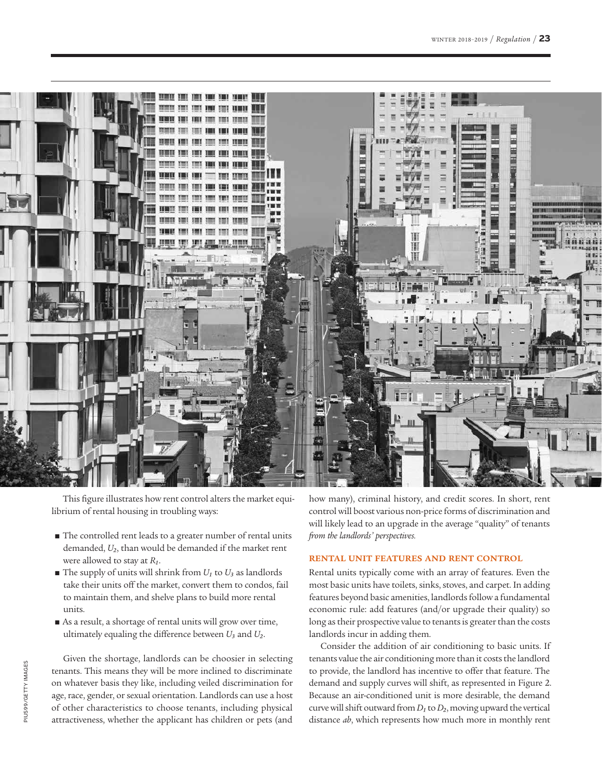

This figure illustrates how rent control alters the market equilibrium of rental housing in troubling ways:

- The controlled rent leads to a greater number of rental units demanded, *U2*, than would be demanded if the market rent were allowed to stay at *R1*.
- $\blacksquare$  The supply of units will shrink from  $U_1$  to  $U_3$  as landlords take their units off the market, convert them to condos, fail to maintain them, and shelve plans to build more rental units.
- As a result, a shortage of rental units will grow over time, ultimately equaling the difference between *U3* and *U2*.

Given the shortage, landlords can be choosier in selecting tenants. This means they will be more inclined to discriminate on whatever basis they like, including veiled discrimination for age, race, gender, or sexual orientation. Landlords can use a host of other characteristics to choose tenants, including physical attractiveness, whether the applicant has children or pets (and

how many), criminal history, and credit scores. In short, rent control will boost various non-price forms of discrimination and will likely lead to an upgrade in the average "quality" of tenants *from the landlords' perspectives.*

# **RENTAL UNIT FEATURES AND RENT CONTROL**

Rental units typically come with an array of features. Even the most basic units have toilets, sinks, stoves, and carpet. In adding features beyond basic amenities, landlords follow a fundamental economic rule: add features (and/or upgrade their quality) so long as their prospective value to tenants is greater than the costs landlords incur in adding them.

Consider the addition of air conditioning to basic units. If tenants value the air conditioning more than it costs the landlord to provide, the landlord has incentive to offer that feature. The demand and supply curves will shift, as represented in Figure 2. Because an air-conditioned unit is more desirable, the demand curve will shift outward from *D1* to *D2*, moving upward the vertical distance *ab*, which represents how much more in monthly rent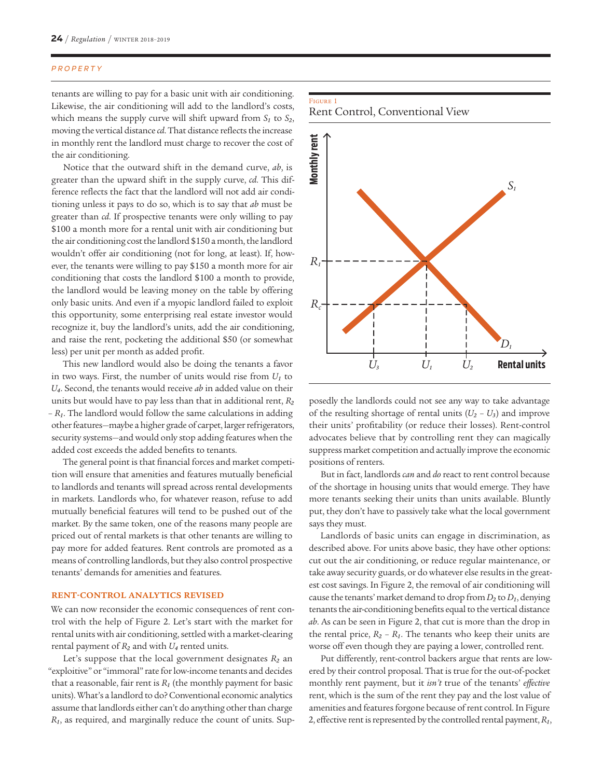#### PROPERTY

tenants are willing to pay for a basic unit with air conditioning. Likewise, the air conditioning will add to the landlord's costs, which means the supply curve will shift upward from  $S_1$  to  $S_2$ , moving the vertical distance *cd*. That distance reflects the increase in monthly rent the landlord must charge to recover the cost of the air conditioning.

Notice that the outward shift in the demand curve, *ab*, is greater than the upward shift in the supply curve, *cd*. This difference reflects the fact that the landlord will not add air conditioning unless it pays to do so, which is to say that *ab* must be greater than *cd*. If prospective tenants were only willing to pay \$100 a month more for a rental unit with air conditioning but the air conditioning cost the landlord \$150 a month, the landlord wouldn't offer air conditioning (not for long, at least). If, however, the tenants were willing to pay \$150 a month more for air conditioning that costs the landlord \$100 a month to provide, the landlord would be leaving money on the table by offering only basic units. And even if a myopic landlord failed to exploit this opportunity, some enterprising real estate investor would recognize it, buy the landlord's units, add the air conditioning, and raise the rent, pocketing the additional \$50 (or somewhat less) per unit per month as added profit.

This new landlord would also be doing the tenants a favor in two ways. First, the number of units would rise from  $U_1$  to *U4*. Second, the tenants would receive *ab* in added value on their units but would have to pay less than that in additional rent, *R2* – *R1*. The landlord would follow the same calculations in adding other features—maybe a higher grade of carpet, larger refrigerators, security systems—and would only stop adding features when the added cost exceeds the added benefits to tenants.

The general point is that financial forces and market competition will ensure that amenities and features mutually beneficial to landlords and tenants will spread across rental developments in markets. Landlords who, for whatever reason, refuse to add mutually beneficial features will tend to be pushed out of the market. By the same token, one of the reasons many people are priced out of rental markets is that other tenants are willing to pay more for added features. Rent controls are promoted as a means of controlling landlords, but they also control prospective tenants' demands for amenities and features.

# **RENT-CONTROL ANALYTICS REVISED**

We can now reconsider the economic consequences of rent control with the help of Figure 2. Let's start with the market for rental units with air conditioning, settled with a market-clearing rental payment of  $R_2$  and with  $U_4$  rented units.

Let's suppose that the local government designates  $R_2$  an "exploitive" or "immoral" rate for low-income tenants and decides that a reasonable, fair rent is  $R_1$  (the monthly payment for basic units). What's a landlord to do? Conventional economic analytics assume that landlords either can't do anything other than charge *R1*, as required, and marginally reduce the count of units. Sup-

#### Figure 1 Rent Control, Conventional View



posedly the landlords could not see any way to take advantage of the resulting shortage of rental units  $(U_2 - U_3)$  and improve their units' profitability (or reduce their losses). Rent-control advocates believe that by controlling rent they can magically suppress market competition and actually improve the economic positions of renters.

But in fact, landlords *can* and *do* react to rent control because of the shortage in housing units that would emerge. They have more tenants seeking their units than units available. Bluntly put, they don't have to passively take what the local government says they must.

Landlords of basic units can engage in discrimination, as described above. For units above basic, they have other options: cut out the air conditioning, or reduce regular maintenance, or take away security guards, or do whatever else results in the greatest cost savings. In Figure 2, the removal of air conditioning will cause the tenants' market demand to drop from  $D_2$  to  $D_1$ , denying tenants the air-conditioning benefits equal to the vertical distance *ab*. As can be seen in Figure 2, that cut is more than the drop in the rental price,  $R_2 - R_1$ . The tenants who keep their units are worse off even though they are paying a lower, controlled rent.

Put differently, rent-control backers argue that rents are lowered by their control proposal. That is true for the out-of-pocket monthly rent payment, but it *isn't* true of the tenants' *effective* rent, which is the sum of the rent they pay and the lost value of amenities and features forgone because of rent control. In Figure 2, effective rent is represented by the controlled rental payment,  $R_1$ ,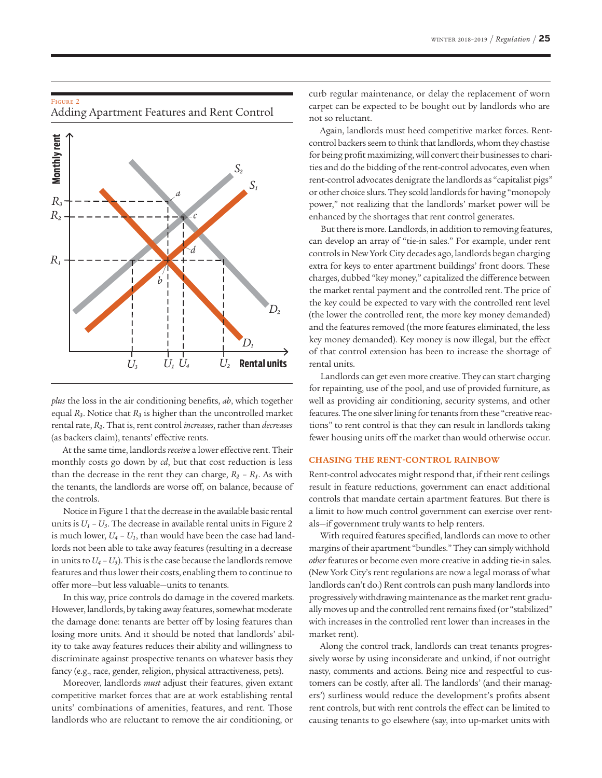## Figure 2

Adding Apartment Features and Rent Control



*plus* the loss in the air conditioning benefits, *ab*, which together equal *R3*. Notice that *R3* is higher than the uncontrolled market rental rate, *R2*. That is, rent control *increases*, rather than *decreases* (as backers claim), tenants' effective rents.

At the same time, landlords *receive* a lower effective rent. Their monthly costs go down by *cd*, but that cost reduction is less than the decrease in the rent they can charge,  $R_2 - R_1$ . As with the tenants, the landlords are worse off, on balance, because of the controls.

Notice in Figure 1 that the decrease in the available basic rental units is  $U_1 - U_3$ . The decrease in available rental units in Figure 2 is much lower,  $U_4 - U_1$ , than would have been the case had landlords not been able to take away features (resulting in a decrease in units to  $U_4 - U_3$ ). This is the case because the landlords remove features and thus lower their costs, enabling them to continue to offer more—but less valuable—units to tenants.

In this way, price controls do damage in the covered markets. However, landlords, by taking away features, somewhat moderate the damage done: tenants are better off by losing features than losing more units. And it should be noted that landlords' ability to take away features reduces their ability and willingness to discriminate against prospective tenants on whatever basis they fancy (e.g., race, gender, religion, physical attractiveness, pets).

Moreover, landlords *must* adjust their features, given extant competitive market forces that are at work establishing rental units' combinations of amenities, features, and rent. Those landlords who are reluctant to remove the air conditioning, or

curb regular maintenance, or delay the replacement of worn carpet can be expected to be bought out by landlords who are not so reluctant.

Again, landlords must heed competitive market forces. Rentcontrol backers seem to think that landlords, whom they chastise for being profit maximizing, will convert their businesses to charities and do the bidding of the rent-control advocates, even when rent-control advocates denigrate the landlords as "capitalist pigs" or other choice slurs. They scold landlords for having "monopoly power," not realizing that the landlords' market power will be enhanced by the shortages that rent control generates.

But there is more. Landlords, in addition to removing features, can develop an array of "tie-in sales." For example, under rent controls in New York City decades ago, landlords began charging extra for keys to enter apartment buildings' front doors. These charges, dubbed "key money," capitalized the difference between the market rental payment and the controlled rent. The price of the key could be expected to vary with the controlled rent level (the lower the controlled rent, the more key money demanded) and the features removed (the more features eliminated, the less key money demanded). Key money is now illegal, but the effect of that control extension has been to increase the shortage of rental units.

Landlords can get even more creative. They can start charging for repainting, use of the pool, and use of provided furniture, as well as providing air conditioning, security systems, and other features. The one silver lining for tenants from these "creative reactions" to rent control is that they can result in landlords taking fewer housing units off the market than would otherwise occur.

### **CHASING THE RENT-CONTROL RAINBOW**

Rent-control advocates might respond that, if their rent ceilings result in feature reductions, government can enact additional controls that mandate certain apartment features. But there is a limit to how much control government can exercise over rentals—if government truly wants to help renters.

With required features specified, landlords can move to other margins of their apartment "bundles." They can simply withhold *other* features or become even more creative in adding tie-in sales. (New York City's rent regulations are now a legal morass of what landlords can't do.) Rent controls can push many landlords into progressively withdrawing maintenance as the market rent gradually moves up and the controlled rent remains fixed (or "stabilized" with increases in the controlled rent lower than increases in the market rent).

Along the control track, landlords can treat tenants progressively worse by using inconsiderate and unkind, if not outright nasty, comments and actions. Being nice and respectful to customers can be costly, after all. The landlords' (and their managers') surliness would reduce the development's profits absent rent controls, but with rent controls the effect can be limited to causing tenants to go elsewhere (say, into up-market units with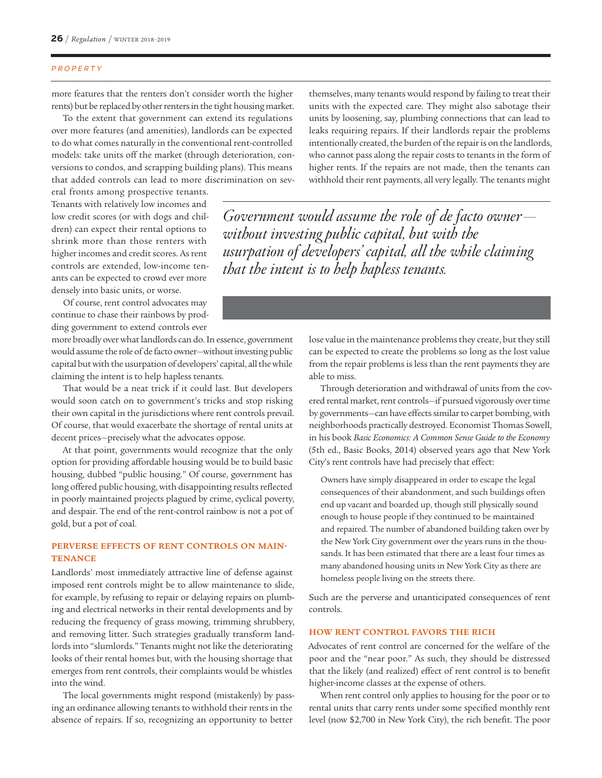#### PROPERTY

more features that the renters don't consider worth the higher rents) but be replaced by other renters in the tight housing market.

To the extent that government can extend its regulations over more features (and amenities), landlords can be expected to do what comes naturally in the conventional rent-controlled models: take units off the market (through deterioration, conversions to condos, and scrapping building plans). This means that added controls can lead to more discrimination on sev-

eral fronts among prospective tenants. Tenants with relatively low incomes and low credit scores (or with dogs and children) can expect their rental options to shrink more than those renters with higher incomes and credit scores. As rent controls are extended, low-income tenants can be expected to crowd ever more densely into basic units, or worse.

Of course, rent control advocates may continue to chase their rainbows by prodding government to extend controls ever

more broadly over what landlords can do. In essence, government would assume the role of de facto owner—without investing public capital but with the usurpation of developers' capital, all the while claiming the intent is to help hapless tenants.

That would be a neat trick if it could last. But developers would soon catch on to government's tricks and stop risking their own capital in the jurisdictions where rent controls prevail. Of course, that would exacerbate the shortage of rental units at decent prices—precisely what the advocates oppose.

At that point, governments would recognize that the only option for providing affordable housing would be to build basic housing, dubbed "public housing." Of course, government has long offered public housing, with disappointing results reflected in poorly maintained projects plagued by crime, cyclical poverty, and despair. The end of the rent-control rainbow is not a pot of gold, but a pot of coal.

# **PERVERSE EFFECTS OF RENT CONTROLS ON MAIN-TENANCE**

Landlords' most immediately attractive line of defense against imposed rent controls might be to allow maintenance to slide, for example, by refusing to repair or delaying repairs on plumbing and electrical networks in their rental developments and by reducing the frequency of grass mowing, trimming shrubbery, and removing litter. Such strategies gradually transform landlords into "slumlords." Tenants might not like the deteriorating looks of their rental homes but, with the housing shortage that emerges from rent controls, their complaints would be whistles into the wind.

The local governments might respond (mistakenly) by passing an ordinance allowing tenants to withhold their rents in the absence of repairs. If so, recognizing an opportunity to better

themselves, many tenants would respond by failing to treat their units with the expected care. They might also sabotage their units by loosening, say, plumbing connections that can lead to leaks requiring repairs. If their landlords repair the problems intentionally created, the burden of the repair is on the landlords, who cannot pass along the repair costs to tenants in the form of higher rents. If the repairs are not made, then the tenants can withhold their rent payments, all very legally. The tenants might

*Government would assume the role of de facto owner without investing public capital, but with the usurpation of developers' capital, all the while claiming that the intent is to help hapless tenants.*

> lose value in the maintenance problems they create, but they still can be expected to create the problems so long as the lost value from the repair problems is less than the rent payments they are able to miss.

> Through deterioration and withdrawal of units from the covered rental market, rent controls—if pursued vigorously over time by governments—can have effects similar to carpet bombing, with neighborhoods practically destroyed. Economist Thomas Sowell, in his book *Basic Economics: A Common Sense Guide to the Economy* (5th ed., Basic Books, 2014) observed years ago that New York City's rent controls have had precisely that effect:

Owners have simply disappeared in order to escape the legal consequences of their abandonment, and such buildings often end up vacant and boarded up, though still physically sound enough to house people if they continued to be maintained and repaired. The number of abandoned building taken over by the New York City government over the years runs in the thousands. It has been estimated that there are a least four times as many abandoned housing units in New York City as there are homeless people living on the streets there.

Such are the perverse and unanticipated consequences of rent controls.

### **HOW RENT CONTROL FAVORS THE RICH**

Advocates of rent control are concerned for the welfare of the poor and the "near poor." As such, they should be distressed that the likely (and realized) effect of rent control is to benefit higher-income classes at the expense of others.

When rent control only applies to housing for the poor or to rental units that carry rents under some specified monthly rent level (now \$2,700 in New York City), the rich benefit. The poor